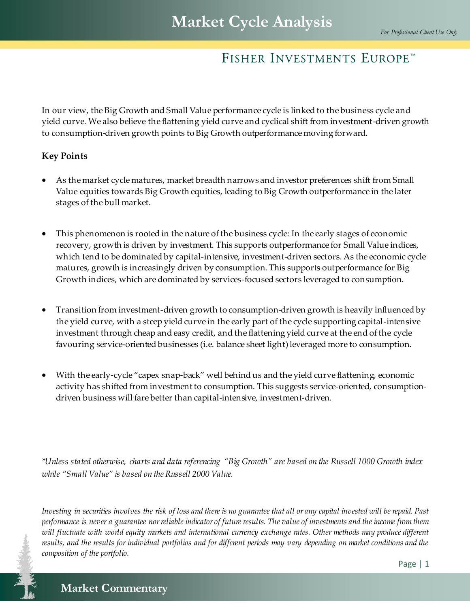In our view, the Big Growth and Small Value performance cycle is linked to the business cycle and yield curve. We also believe the flattening yield curve and cyclical shift from investment-driven growth to consumption-driven growth points to Big Growth outperformance moving forward.

#### **Key Points**

- As the market cycle matures, market breadth narrows and investor preferences shift from Small Value equities towards Big Growth equities, leading to Big Growth outperformance in the later stages of the bull market.
- This phenomenon is rooted in the nature of the business cycle: In the early stages of economic recovery, growth is driven by investment. This supports outperformance for Small Value indices, which tend to be dominated by capital-intensive, investment-driven sectors. As the economic cycle matures, growth is increasingly driven by consumption. This supports outperformance for Big Growth indices, which are dominated by services-focused sectors leveraged to consumption.
- Transition from investment-driven growth to consumption-driven growth is heavily influenced by the yield curve, with a steep yield curve in the early part of the cycle supporting capital-intensive investment through cheap and easy credit, and the flattening yield curve at the end of the cycle favouring service-oriented businesses (i.e. balance sheet light) leveraged more to consumption.
- With the early-cycle "capex snap-back" well behind us and the yield curve flattening, economic activity has shifted from investment to consumption. This suggests service-oriented, consumptiondriven business will fare better than capital-intensive, investment-driven.

*\*Unless stated otherwise, charts and data referencing "Big Growth" are based on the Russell 1000 Growth index while "Small Value" is based on the Russell 2000 Value.*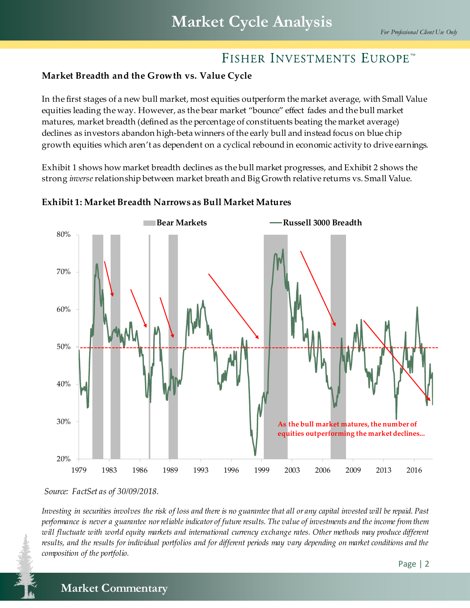## **Market Breadth and the Growth vs. Value Cycle**

In the first stages of a new bull market, most equities outperform the market average, with Small Value equities leading the way. However, as the bear market "bounce" effect fades and the bull market matures, market breadth (defined as the percentage of constituents beating the market average) declines as investors abandon high-beta winners of the early bull and instead focus on blue chip growth equities which aren't as dependent on a cyclical rebound in economic activity to drive earnings.

Exhibit 1 shows how market breadth declines as the bull market progresses, and Exhibit 2 shows the strong *inverse*relationship between market breath and Big Growth relative returns vs. Small Value.



#### **Exhibit 1: Market Breadth Narrows as Bull Market Matures**

*Source: FactSet as of 30/09/2018.*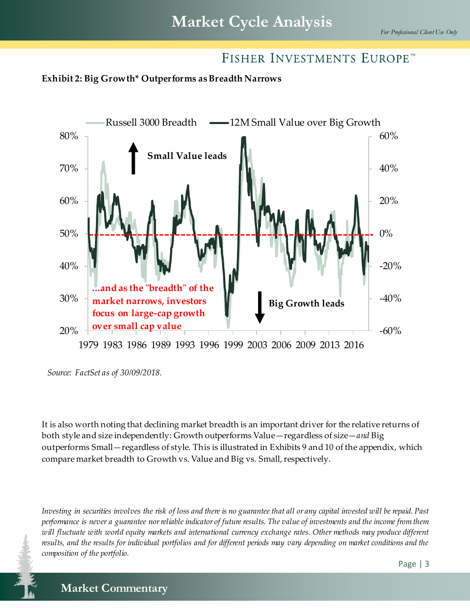



*Source: FactSet as of 30/09/2018.*

It is also worth noting that declining market breadth is an important driver for the relative returns of both style and size independently: Growth outperforms Value—regardless of size—*and* Big outperforms Small—regardless of style. This is illustrated in Exhibits 9 and 10 of the appendix, which compare market breadth to Growth vs. Value and Big vs. Small, respectively.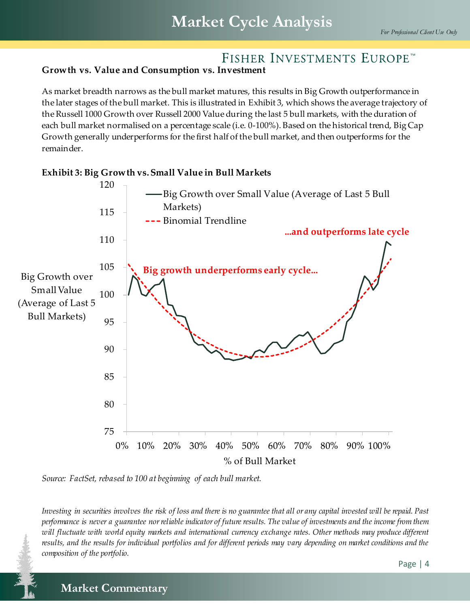#### **Growth vs. Value and Consumption vs. Investment**

As market breadth narrows as the bull market matures, this results in Big Growth outperformance in the later stages of the bull market. This is illustrated in Exhibit 3, which shows the average trajectory of the Russell 1000 Growth over Russell 2000 Value during the last 5 bull markets, with the duration of each bull market normalised on a percentage scale (i.e. 0-100%). Based on the historical trend, Big Cap Growth generally underperforms for the first half of the bull market, and then outperforms for the remainder.



*Source: FactSet, rebased to 100 at beginning of each bull market.*

*Investing in securities involves the risk of loss and there is no guarantee that all or any capital invested will be repaid. Past performance is never a guarantee nor reliable indicator of future results. The value of investments and the income from them will fluctuate with world equity markets and international currency exchange rates. Other methods may produce different results, and the results for individual portfolios and for different periods may vary depending on market conditions and the composition of the portfolio.*

## **Market Commentary Market Commentary**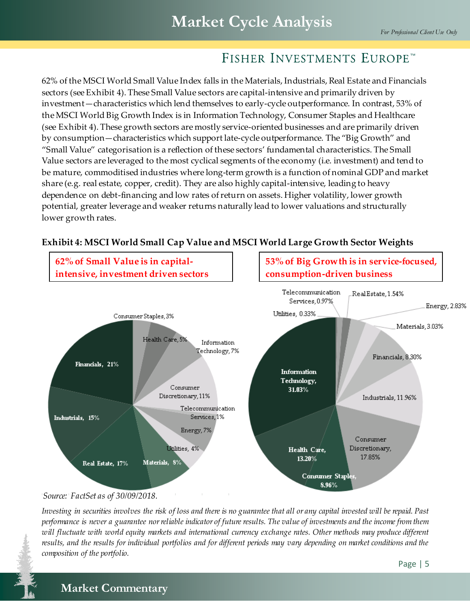62% of the MSCI World Small Value Index falls in the Materials, Industrials, Real Estate and Financials sectors (see Exhibit 4). These Small Value sectors are capital-intensive and primarily driven by investment—characteristics which lend themselves to early-cycle outperformance. In contrast, 53% of the MSCI World Big Growth Index is in Information Technology, Consumer Staples and Healthcare (see Exhibit 4). These growth sectors are mostly service-oriented businesses and are primarily driven by consumption—characteristics which support late-cycle outperformance. The "Big Growth" and "Small Value" categorisation is a reflection of these sectors' fundamental characteristics. The Small Value sectors are leveraged to the most cyclical segments of the economy (i.e. investment) and tend to be mature, commoditised industries where long-term growth is a function of nominal GDP and market share (e.g. real estate, copper, credit). They are also highly capital-intensive, leading to heavy dependence on debt-financing and low rates of return on assets. Higher volatility, lower growth potential, greater leverage and weaker returns naturally lead to lower valuations and structurally lower growth rates.



## **Exhibit 4: MSCI World Small Cap Value and MSCI World Large Growth Sector Weights**

*Source: FactSet as of 30/09/2018.*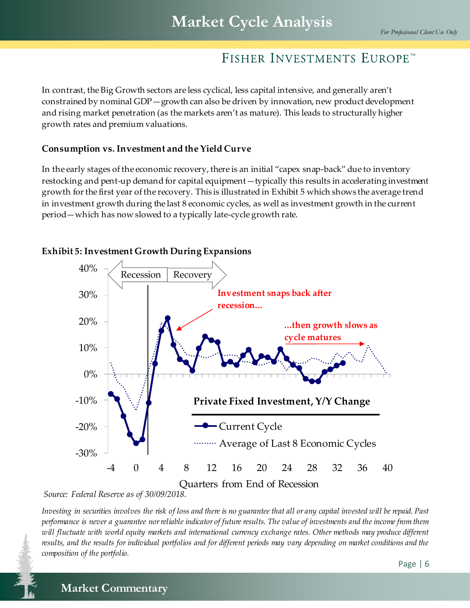In contrast, the Big Growth sectors are less cyclical, less capital intensive, and generally aren't constrained by nominal GDP—growth can also be driven by innovation, new product development and rising market penetration (as the markets aren't as mature). This leads to structurally higher growth rates and premium valuations.

#### **Consumption vs. Investment and the Yield Curve**

In the early stages of the economic recovery, there is an initial "capex snap-back" due to inventory restocking and pent-up demand for capital equipment—typically this results in accelerating investment growth for the first year of the recovery. This is illustrated in Exhibit 5 which shows the average trend in investment growth during the last 8 economic cycles, as well as investment growth in the current period—which has now slowed to a typically late-cycle growth rate.



#### **Exhibit 5: Investment Growth During Expansions**

*Source: Federal Reserve as of 30/09/2018.*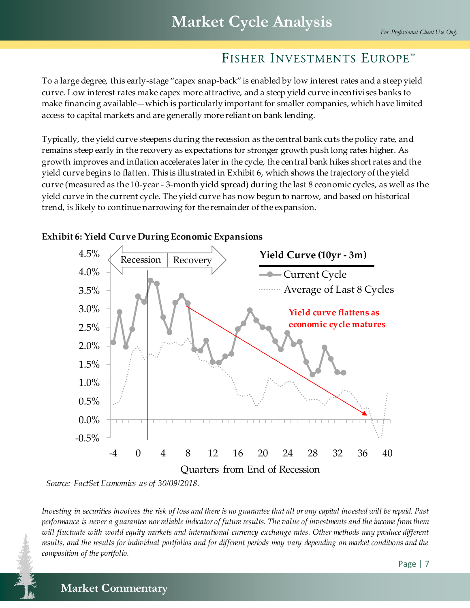To a large degree, this early-stage "capex snap-back" is enabled by low interest rates and a steep yield curve. Low interest rates make capex more attractive, and a steep yield curve incentivises banks to make financing available—which is particularly important for smaller companies, which have limited access to capital markets and are generally more reliant on bank lending.

Typically, the yield curve steepens during the recession as the central bank cuts the policy rate, and remains steep early in the recovery as expectations for stronger growth push long rates higher. As growth improves and inflation accelerates later in the cycle, the central bank hikes short rates and the yield curve begins to flatten. This is illustrated in Exhibit 6, which shows the trajectory of the yield curve (measured as the 10-year - 3-month yield spread) during the last 8 economic cycles, as well as the yield curve in the current cycle. The yield curve has now begun to narrow, and based on historical trend, is likely to continue narrowing for the remainder of the expansion.



### **Exhibit 6: Yield Curve During Economic Expansions**

*Source: FactSet Economics as of 30/09/2018.*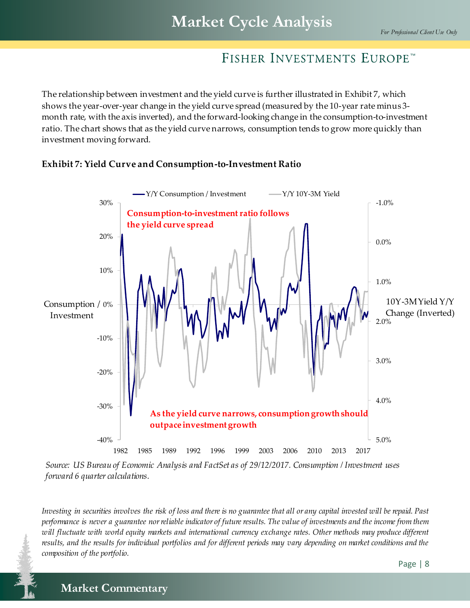The relationship between investment and the yield curve is further illustrated in Exhibit 7, which shows the year-over-year change in the yield curve spread (measured by the 10-year rate minus 3 month rate, with the axis inverted), and the forward-looking change in the consumption-to-investment ratio. The chart shows that as the yield curve narrows, consumption tends to grow more quickly than investment moving forward.



*Source: US Bureau of Economic Analysis and FactSet as of 29/12/2017. Consumption / Investment uses forward 6 quarter calculations.*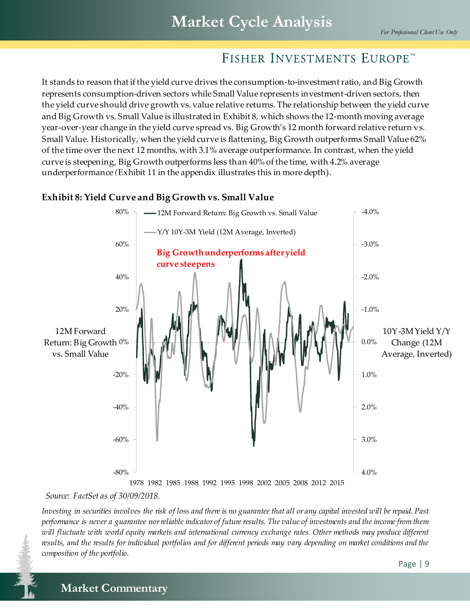It stands to reason that if the yield curve drives the consumption-to-investment ratio, and Big Growth represents consumption-driven sectors while Small Value represents investment-driven sectors, then the yield curve should drive growth vs. value relative returns. The relationship between the yield curve and Big Growth vs. Small Value is illustrated in Exhibit 8, which shows the 12-month moving average year-over-year change in the yield curve spread vs. Big Growth's 12 month forward relative return vs. Small Value. Historically, when the yield curve is flattening, Big Growth outperforms Small Value 62% of the time over the next 12 months, with 3.1% average outperformance. In contrast, when the yield curve is steepening, Big Growth outperforms less than 40% of the time, with 4.2% average underperformance *(*Exhibit 11 in the appendix illustrates this in more depth).

### **Exhibit 8: Yield Curve and Big Growth vs. Small Value**



*Source: FactSet as of 30/09/2018.*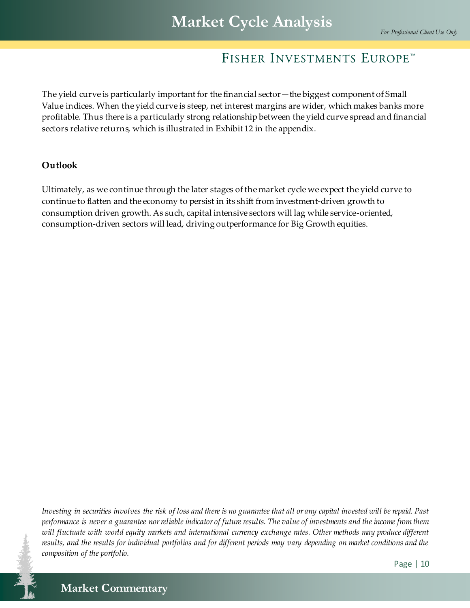The yield curve is particularly important for the financial sector—the biggest component of Small Value indices. When the yield curve is steep, net interest margins are wider, which makes banks more profitable. Thus there is a particularly strong relationship between the yield curve spread and financial sectors relative returns, which is illustrated in Exhibit 12 in the appendix.

#### **Outlook**

Ultimately, as we continue through the later stages of the market cycle we expect the yield curve to continue to flatten and the economy to persist in its shift from investment-driven growth to consumption driven growth. As such, capital intensive sectors will lag while service-oriented, consumption-driven sectors will lead, driving outperformance for Big Growth equities.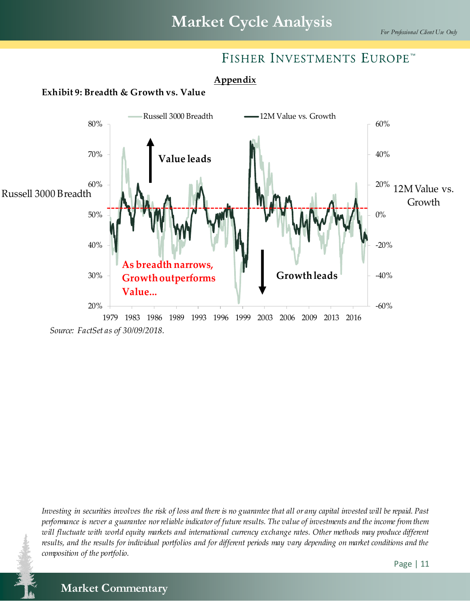## **Appendix**

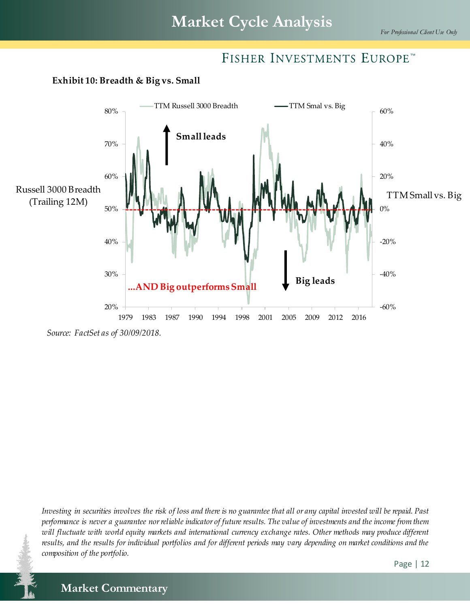

#### **Exhibit 10: Breadth & Big vs. Small**

*Source: FactSet as of 30/09/2018.*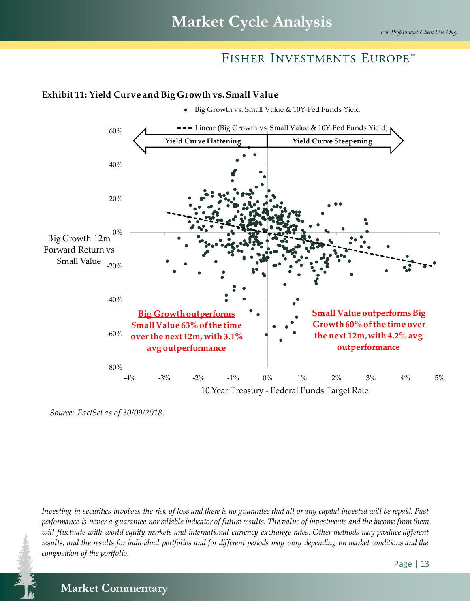Big Growth vs. Small Value & 10Y-Fed Funds Yield

## FISHER INVESTMENTS EUROPE™

## -60% -40% -20% 0% 20% 40% 60% Big Growth 12m Forward Return vs Small Value --- Linear (Big Growth vs. Small Value & 10Y-Fed Funds Yield) **Yield Curve Flattening Yield Curve Steepening Big Growth outperforms**  *S***mall Value 63% of the time over the next 12m, with 3.1% avg outperformance Small Value outperforms Big Growth60% of the time over the next 12m, with 4.2% avg outperformance**

#### **Exhibit 11: Yield Curve and Big Growth vs. Small Value**

-4% -3% -2% -1% 0% 1% 2% 3% 4% 5% 10 Year Treasury - Federal Funds Target Rate

-80%

*Investing in securities involves the risk of loss and there is no guarantee that all or any capital invested will be repaid. Past performance is never a guarantee nor reliable indicator of future results. The value of investments and the income from them will fluctuate with world equity markets and international currency exchange rates. Other methods may produce different results, and the results for individual portfolios and for different periods may vary depending on market conditions and the composition of the portfolio.*

**Market Commentary Market Commentary**

*Source: FactSet as of 30/09/2018.*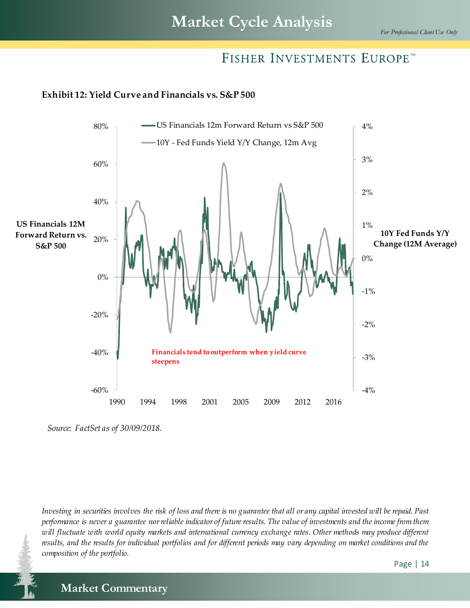# **Market Cycle Analysis**

## FISHER INVESTMENTS EUROPE™

#### **Exhibit 12: Yield Curve and Financials vs. S&P 500**



*Source: FactSet as of 30/09/2018.*

*Investing in securities involves the risk of loss and there is no guarantee that all or any capital invested will be repaid. Past performance is never a guarantee nor reliable indicator of future results. The value of investments and the income from them will fluctuate with world equity markets and international currency exchange rates. Other methods may produce different results, and the results for individual portfolios and for different periods may vary depending on market conditions and the composition of the portfolio.*

**Market Commentary Market Commentary**